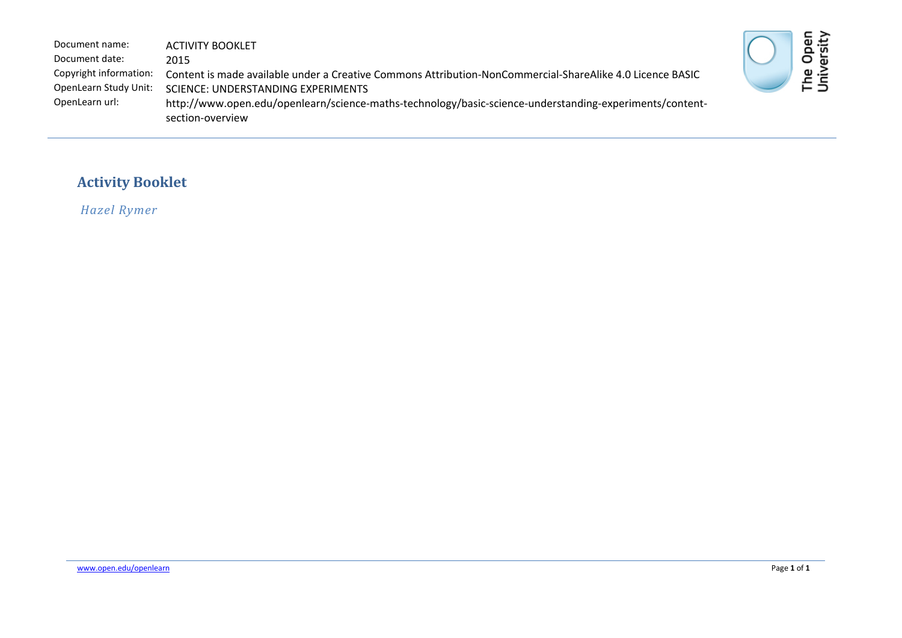| Document name:         | <b>ACTIVITY BOOKLET</b>                                                                                   |
|------------------------|-----------------------------------------------------------------------------------------------------------|
| Document date:         | 2015                                                                                                      |
| Copyright information: | Content is made available under a Creative Commons Attribution-NonCommercial-ShareAlike 4.0 Licence BASIC |
| OpenLearn Study Unit:  | SCIENCE: UNDERSTANDING EXPERIMENTS                                                                        |
| OpenLearn url:         | http://www.open.edu/openlearn/science-maths-technology/basic-science-understanding-experiments/content-   |
|                        | section-overview                                                                                          |



### **Activity Booklet**

*Hazel Rymer*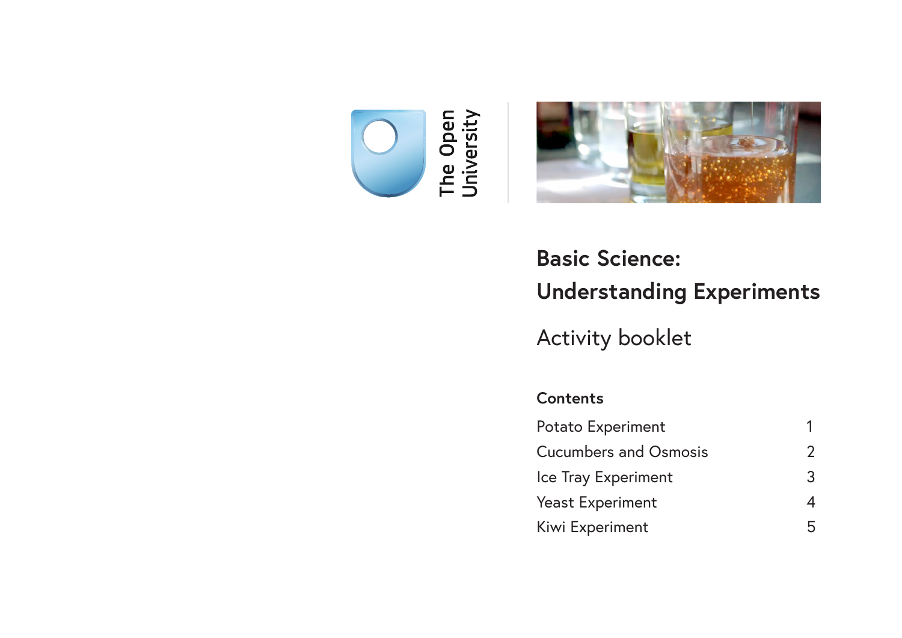



# **Basic Science: Understanding Experiments**

Activity booklet

**Contents**

| <b>Potato Experiment</b>     |   |
|------------------------------|---|
| <b>Cucumbers and Osmosis</b> |   |
| Ice Tray Experiment          | 3 |
| <b>Yeast Experiment</b>      | 4 |
| Kiwi Experiment              | 5 |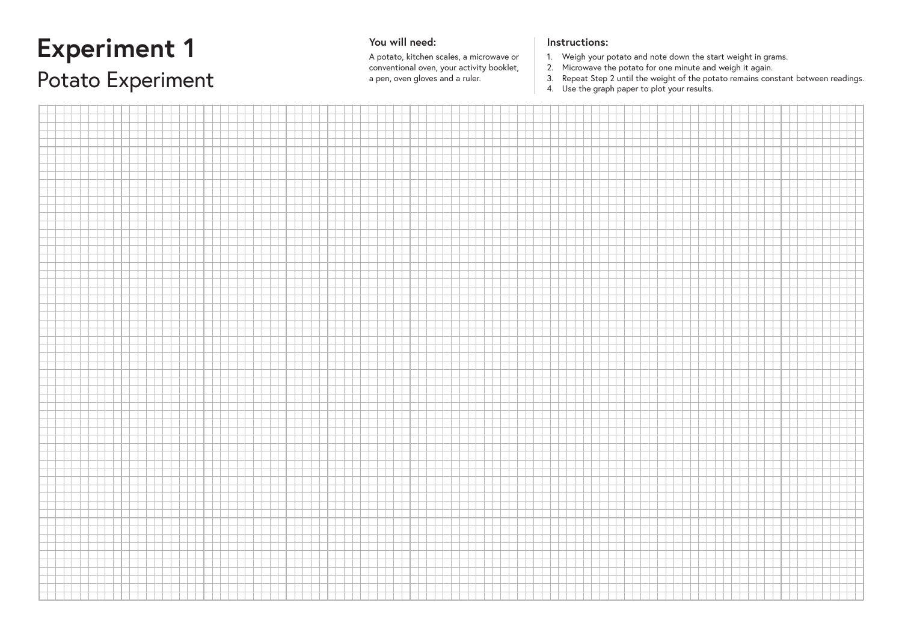### **Experiment 1** Potato Experiment

#### **You will need:**

A potato, kitchen scales, a microwave or conventional oven, your activity booklet, a pen, oven gloves and a ruler.

- 1. Weigh your potato and note down the start weight in grams.<br>2. Microwave the potato for one minute and weigh it again.
- 2. Microwave the potato for one minute and weigh it again.<br>3. Repeat Step 2 until the weight of the potato remains con
- Repeat Step 2 until the weight of the potato remains constant between readings.
- 4. Use the graph paper to plot your results.

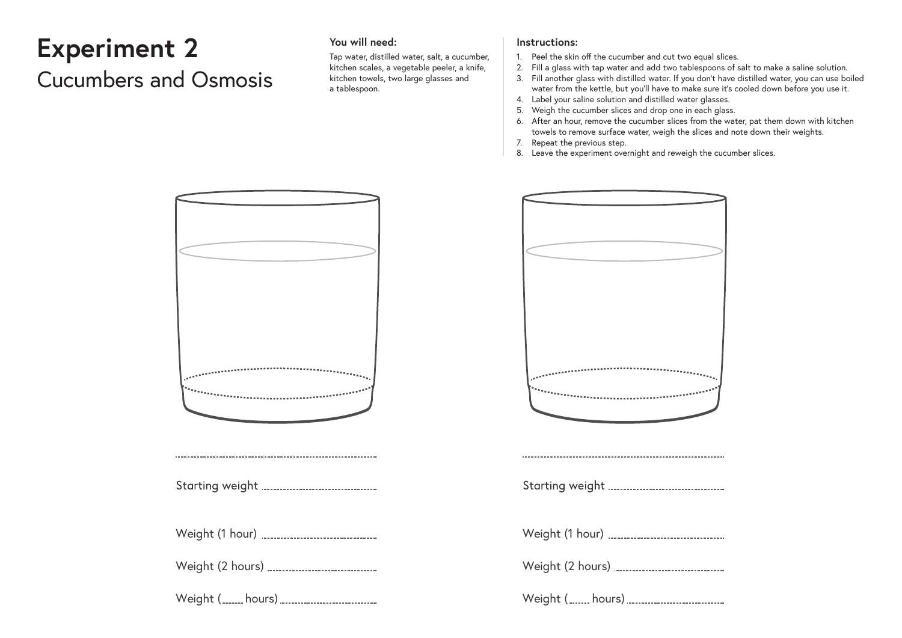### **Experiment 2** Cucumbers and Osmosis

#### **You will need:**

Tap water, distilled water, salt, a cucumber, kitchen scales, a vegetable peeler, a knife, kitchen towels, two large glasses and a tablespoon.

- 1. Peel the skin off the cucumber and cut two equal slices.
- 2. Fill a glass with tap water and add two tablespoons of salt to make a saline solution.
- 3. Fill another glass with distilled water. If you don't have distilled water, you can use boiled water from the kettle, but you'll have to make sure it's cooled down before you use it.
- 4. Label your saline solution and distilled water glasses.
- 5. Weigh the cucumber slices and drop one in each glass.
- 6. After an hour, remove the cucumber slices from the water, pat them down with kitchen towels to remove surface water, weigh the slices and note down their weights.
- 7. Repeat the previous step.
- 8. Leave the experiment overnight and reweigh the cucumber slices.

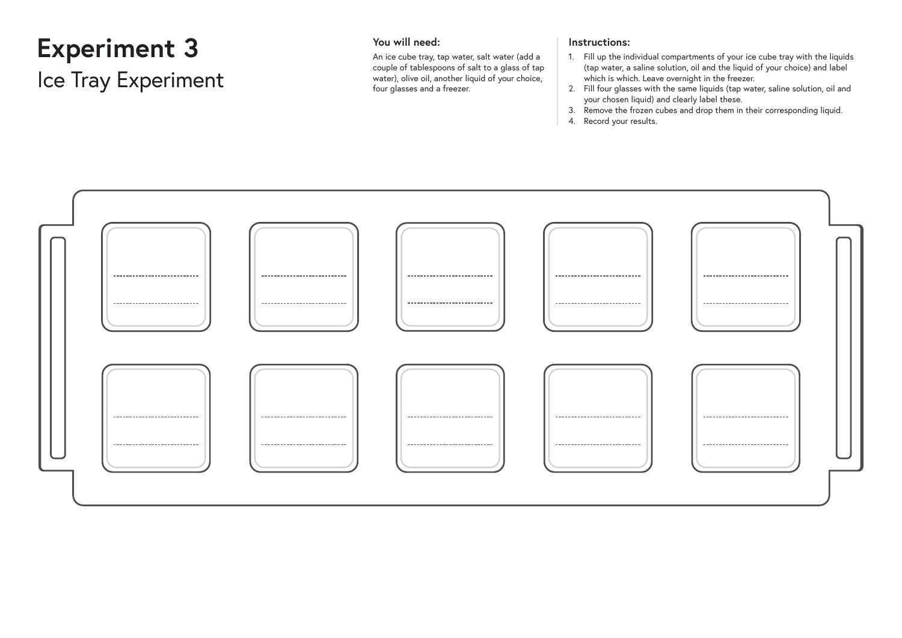### **Experiment 3** Ice Tray Experiment

#### **You will need:**

An ice cube tray, tap water, salt water (add a couple of tablespoons of salt to a glass of tap water), olive oil, another liquid of your choice, four glasses and a freezer.

- 1. Fill up the individual compartments of your ice cube tray with the liquids (tap water, a saline solution, oil and the liquid of your choice) and label which is which. Leave overnight in the freezer.
- 2. Fill four glasses with the same liquids (tap water, saline solution, oil and your chosen liquid) and clearly label these.
- 3. Remove the frozen cubes and drop them in their corresponding liquid.
- 4. Record your results.

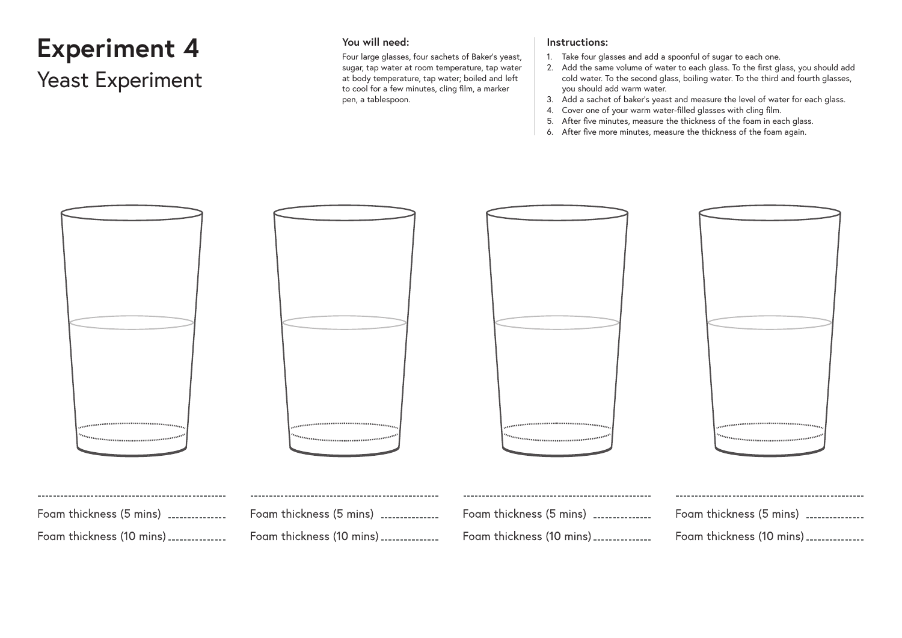### **Experiment 4** Yeast Experiment

#### **You will need:**

Four large glasses, four sachets of Baker's yeast, sugar, tap water at room temperature, tap water at body temperature, tap water; boiled and left to cool for a few minutes, cling film, a marker pen, a tablespoon.

- 1. Take four glasses and add a spoonful of sugar to each one.
- 2. Add the same volume of water to each glass. To the first glass, you should add cold water. To the second glass, boiling water. To the third and fourth glasses, you should add warm water.
- 3. Add a sachet of baker's yeast and measure the level of water for each glass.
- 4. Cover one of your warm water-filled glasses with cling film.
- 5. After five minutes, measure the thickness of the foam in each glass.
- 6. After five more minutes, measure the thickness of the foam again.